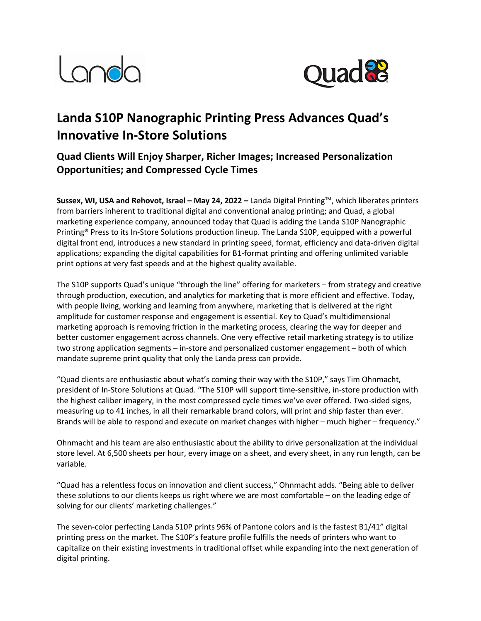



# **Landa S10P Nanographic Printing Press Advances Quad's Innovative In-Store Solutions**

## **Quad Clients Will Enjoy Sharper, Richer Images; Increased Personalization Opportunities; and Compressed Cycle Times**

**Sussex, WI, USA and Rehovot, Israel – May 24, 2022 –** Landa Digital Printing™, which liberates printers from barriers inherent to traditional digital and conventional analog printing; and Quad, a global marketing experience company, announced today that Quad is adding the Landa S10P Nanographic Printing® Press to its In-Store Solutions production lineup. The Landa S10P, equipped with a powerful digital front end, introduces a new standard in printing speed, format, efficiency and data-driven digital applications; expanding the digital capabilities for B1-format printing and offering unlimited variable print options at very fast speeds and at the highest quality available.

The S10P supports Quad's unique "through the line" offering for marketers – from strategy and creative through production, execution, and analytics for marketing that is more efficient and effective. Today, with people living, working and learning from anywhere, marketing that is delivered at the right amplitude for customer response and engagement is essential. Key to Quad's multidimensional marketing approach is removing friction in the marketing process, clearing the way for deeper and better customer engagement across channels. One very effective retail marketing strategy is to utilize two strong application segments – in-store and personalized customer engagement – both of which mandate supreme print quality that only the Landa press can provide.

"Quad clients are enthusiastic about what's coming their way with the S10P," says Tim Ohnmacht, president of In-Store Solutions at Quad. "The S10P will support time-sensitive, in-store production with the highest caliber imagery, in the most compressed cycle times we've ever offered. Two-sided signs, measuring up to 41 inches, in all their remarkable brand colors, will print and ship faster than ever. Brands will be able to respond and execute on market changes with higher – much higher – frequency."

Ohnmacht and his team are also enthusiastic about the ability to drive personalization at the individual store level. At 6,500 sheets per hour, every image on a sheet, and every sheet, in any run length, can be variable.

"Quad has a relentless focus on innovation and client success," Ohnmacht adds. "Being able to deliver these solutions to our clients keeps us right where we are most comfortable – on the leading edge of solving for our clients' marketing challenges."

The seven-color perfecting Landa S10P prints 96% of Pantone colors and is the fastest B1/41" digital printing press on the market. The S10P's feature profile fulfills the needs of printers who want to capitalize on their existing investments in traditional offset while expanding into the next generation of digital printing.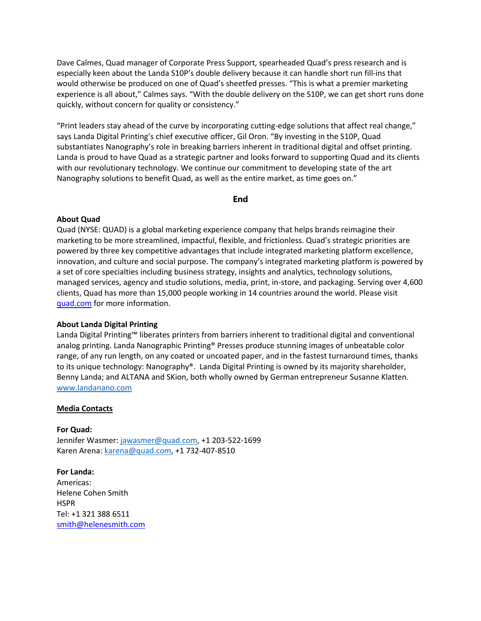Dave Calmes, Quad manager of Corporate Press Support, spearheaded Quad's press research and is especially keen about the Landa S10P's double delivery because it can handle short run fill-ins that would otherwise be produced on one of Quad's sheetfed presses. "This is what a premier marketing experience is all about," Calmes says. "With the double delivery on the S10P, we can get short runs done quickly, without concern for quality or consistency."

"Print leaders stay ahead of the curve by incorporating cutting-edge solutions that affect real change," says Landa Digital Printing's chief executive officer, Gil Oron. "By investing in the S10P, Quad substantiates Nanography's role in breaking barriers inherent in traditional digital and offset printing. Landa is proud to have Quad as a strategic partner and looks forward to supporting Quad and its clients with our revolutionary technology. We continue our commitment to developing state of the art Nanography solutions to benefit Quad, as well as the entire market, as time goes on."

**End**

### **About Quad**

Quad (NYSE: QUAD) is a global marketing experience company that helps brands reimagine their marketing to be more streamlined, impactful, flexible, and frictionless. Quad's strategic priorities are powered by three key competitive advantages that include integrated marketing platform excellence, innovation, and culture and social purpose. The company's integrated marketing platform is powered by a set of core specialties including business strategy, insights and analytics, technology solutions, managed services, agency and studio solutions, media, print, in-store, and packaging. Serving over 4,600 clients, Quad has more than 15,000 people working in 14 countries around the world. Please visit quad.com for more information.

### **About Landa Digital Printing**

Landa Digital Printing™ liberates printers from barriers inherent to traditional digital and conventional analog printing. Landa Nanographic Printing® Presses produce stunning images of unbeatable color range, of any run length, on any coated or uncoated paper, and in the fastest turnaround times, thanks to its unique technology: Nanography®. Landa Digital Printing is owned by its majority shareholder, Benny Landa; and ALTANA and SKion, both wholly owned by German entrepreneur Susanne Klatten.  www.landanano.com

#### **Media Contacts**

**For Quad:** Jennifer Wasmer: jawasmer@quad.com, +1 203-522-1699 Karen Arena: karena@quad.com, +1 732-407-8510

**For Landa:** Americas: Helene Cohen Smith **HSPR** Tel: +1 321 388 6511 smith@helenesmith.com